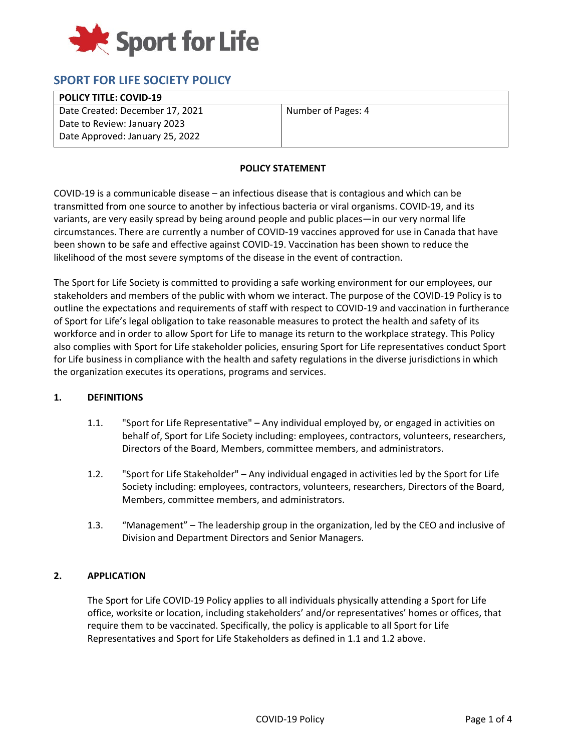

# **SPORT FOR LIFE SOCIETY POLICY**

#### **POLICY TITLE: COVID-19**

Date Created: December 17, 2021 Date to Review: January 2023 Date Approved: January 25, 2022

Number of Pages: 4

#### **POLICY STATEMENT**

COVID-19 is a communicable disease – an infectious disease that is contagious and which can be transmitted from one source to another by infectious bacteria or viral organisms. COVID-19, and its variants, are very easily spread by being around people and public places—in our very normal life circumstances. There are currently a number of COVID-19 vaccines approved for use in Canada that have been shown to be safe and effective against COVID-19. Vaccination has been shown to reduce the likelihood of the most severe symptoms of the disease in the event of contraction.

The Sport for Life Society is committed to providing a safe working environment for our employees, our stakeholders and members of the public with whom we interact. The purpose of the COVID-19 Policy is to outline the expectations and requirements of staff with respect to COVID-19 and vaccination in furtherance of Sport for Life's legal obligation to take reasonable measures to protect the health and safety of its workforce and in order to allow Sport for Life to manage its return to the workplace strategy. This Policy also complies with Sport for Life stakeholder policies, ensuring Sport for Life representatives conduct Sport for Life business in compliance with the health and safety regulations in the diverse jurisdictions in which the organization executes its operations, programs and services.

## **1. DEFINITIONS**

- 1.1. "Sport for Life Representative" Any individual employed by, or engaged in activities on behalf of, Sport for Life Society including: employees, contractors, volunteers, researchers, Directors of the Board, Members, committee members, and administrators.
- 1.2. "Sport for Life Stakeholder" Any individual engaged in activities led by the Sport for Life Society including: employees, contractors, volunteers, researchers, Directors of the Board, Members, committee members, and administrators.
- 1.3. "Management" The leadership group in the organization, led by the CEO and inclusive of Division and Department Directors and Senior Managers.

## **2. APPLICATION**

The Sport for Life COVID-19 Policy applies to all individuals physically attending a Sport for Life office, worksite or location, including stakeholders' and/or representatives' homes or offices, that require them to be vaccinated. Specifically, the policy is applicable to all Sport for Life Representatives and Sport for Life Stakeholders as defined in 1.1 and 1.2 above.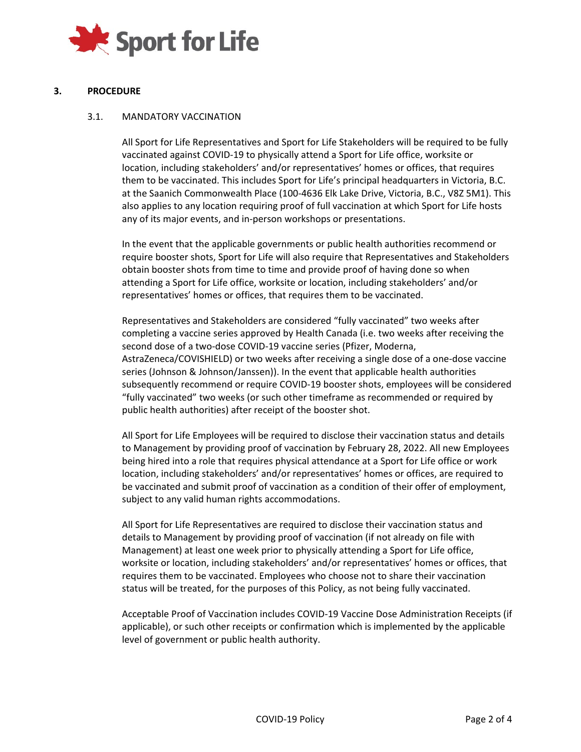

## **3. PROCEDURE**

## 3.1. MANDATORY VACCINATION

All Sport for Life Representatives and Sport for Life Stakeholders will be required to be fully vaccinated against COVID-19 to physically attend a Sport for Life office, worksite or location, including stakeholders' and/or representatives' homes or offices, that requires them to be vaccinated. This includes Sport for Life's principal headquarters in Victoria, B.C. at the Saanich Commonwealth Place (100-4636 Elk Lake Drive, Victoria, B.C., V8Z 5M1). This also applies to any location requiring proof of full vaccination at which Sport for Life hosts any of its major events, and in-person workshops or presentations.

In the event that the applicable governments or public health authorities recommend or require booster shots, Sport for Life will also require that Representatives and Stakeholders obtain booster shots from time to time and provide proof of having done so when attending a Sport for Life office, worksite or location, including stakeholders' and/or representatives' homes or offices, that requires them to be vaccinated.

Representatives and Stakeholders are considered "fully vaccinated" two weeks after completing a vaccine series approved by Health Canada (i.e. two weeks after receiving the second dose of a two-dose COVID-19 vaccine series (Pfizer, Moderna, AstraZeneca/COVISHIELD) or two weeks after receiving a single dose of a one-dose vaccine series (Johnson & Johnson/Janssen)). In the event that applicable health authorities subsequently recommend or require COVID-19 booster shots, employees will be considered "fully vaccinated" two weeks (or such other timeframe as recommended or required by public health authorities) after receipt of the booster shot.

All Sport for Life Employees will be required to disclose their vaccination status and details to Management by providing proof of vaccination by February 28, 2022. All new Employees being hired into a role that requires physical attendance at a Sport for Life office or work location, including stakeholders' and/or representatives' homes or offices, are required to be vaccinated and submit proof of vaccination as a condition of their offer of employment, subject to any valid human rights accommodations.

All Sport for Life Representatives are required to disclose their vaccination status and details to Management by providing proof of vaccination (if not already on file with Management) at least one week prior to physically attending a Sport for Life office, worksite or location, including stakeholders' and/or representatives' homes or offices, that requires them to be vaccinated. Employees who choose not to share their vaccination status will be treated, for the purposes of this Policy, as not being fully vaccinated.

Acceptable Proof of Vaccination includes COVID-19 Vaccine Dose Administration Receipts (if applicable), or such other receipts or confirmation which is implemented by the applicable level of government or public health authority.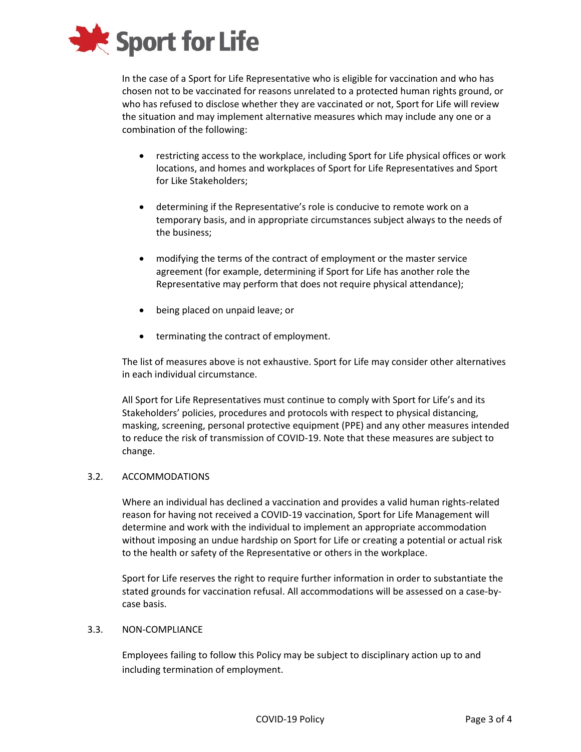

In the case of a Sport for Life Representative who is eligible for vaccination and who has chosen not to be vaccinated for reasons unrelated to a protected human rights ground, or who has refused to disclose whether they are vaccinated or not, Sport for Life will review the situation and may implement alternative measures which may include any one or a combination of the following:

- restricting access to the workplace, including Sport for Life physical offices or work locations, and homes and workplaces of Sport for Life Representatives and Sport for Like Stakeholders;
- determining if the Representative's role is conducive to remote work on a temporary basis, and in appropriate circumstances subject always to the needs of the business;
- modifying the terms of the contract of employment or the master service agreement (for example, determining if Sport for Life has another role the Representative may perform that does not require physical attendance);
- being placed on unpaid leave; or
- terminating the contract of employment.

The list of measures above is not exhaustive. Sport for Life may consider other alternatives in each individual circumstance.

All Sport for Life Representatives must continue to comply with Sport for Life's and its Stakeholders' policies, procedures and protocols with respect to physical distancing, masking, screening, personal protective equipment (PPE) and any other measures intended to reduce the risk of transmission of COVID-19. Note that these measures are subject to change.

## 3.2. ACCOMMODATIONS

Where an individual has declined a vaccination and provides a valid human rights-related reason for having not received a COVID-19 vaccination, Sport for Life Management will determine and work with the individual to implement an appropriate accommodation without imposing an undue hardship on Sport for Life or creating a potential or actual risk to the health or safety of the Representative or others in the workplace.

Sport for Life reserves the right to require further information in order to substantiate the stated grounds for vaccination refusal. All accommodations will be assessed on a case-bycase basis.

## 3.3. NON-COMPLIANCE

Employees failing to follow this Policy may be subject to disciplinary action up to and including termination of employment.